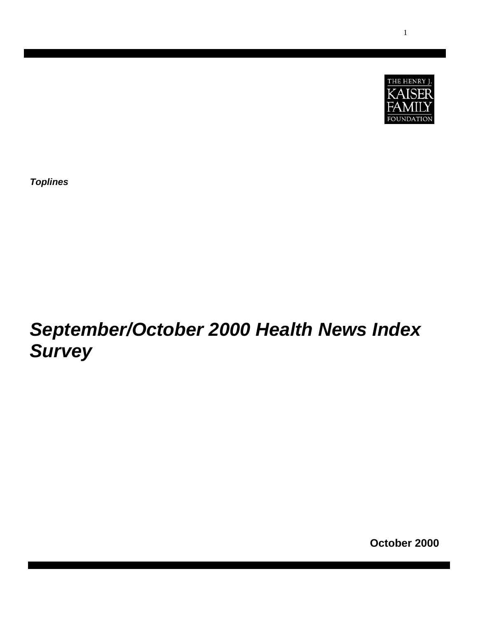

*Toplines* 

# *September/October 2000 Health News Index Survey*

**October 2000**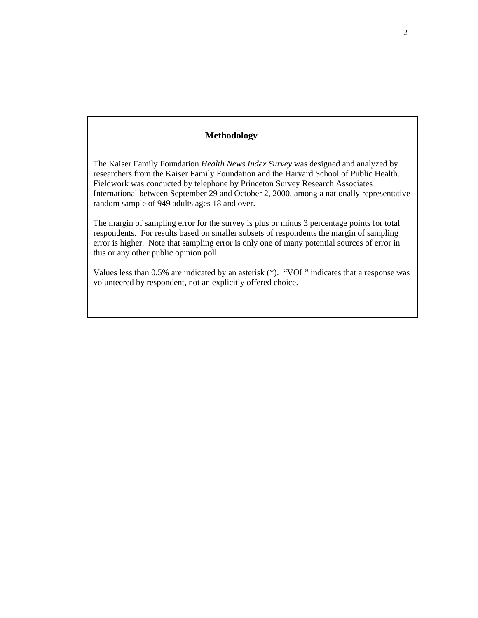## **Methodology**

The Kaiser Family Foundation *Health News Index Survey* was designed and analyzed by researchers from the Kaiser Family Foundation and the Harvard School of Public Health. Fieldwork was conducted by telephone by Princeton Survey Research Associates International between September 29 and October 2, 2000, among a nationally representative random sample of 949 adults ages 18 and over.

The margin of sampling error for the survey is plus or minus 3 percentage points for total respondents. For results based on smaller subsets of respondents the margin of sampling error is higher. Note that sampling error is only one of many potential sources of error in this or any other public opinion poll.

Values less than 0.5% are indicated by an asterisk (\*). "VOL" indicates that a response was volunteered by respondent, not an explicitly offered choice.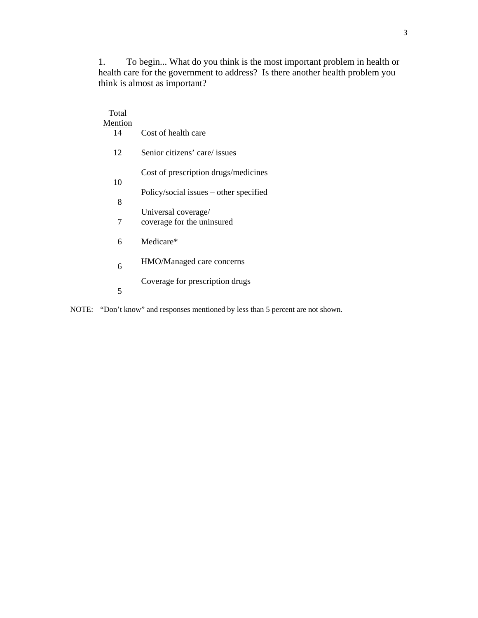1. To begin... What do you think is the most important problem in health or health care for the government to address? Is there another health problem you think is almost as important?

| Total          |                                                   |  |  |  |  |
|----------------|---------------------------------------------------|--|--|--|--|
| <b>Mention</b> |                                                   |  |  |  |  |
| 14             | Cost of health care                               |  |  |  |  |
| 12             | Senior citizens' care/ issues                     |  |  |  |  |
| 10             | Cost of prescription drugs/medicines              |  |  |  |  |
|                | Policy/social issues – other specified            |  |  |  |  |
| 8              |                                                   |  |  |  |  |
| 7              | Universal coverage/<br>coverage for the uninsured |  |  |  |  |
| 6              | Medicare*                                         |  |  |  |  |
| 6              | HMO/Managed care concerns                         |  |  |  |  |
| 5              | Coverage for prescription drugs                   |  |  |  |  |

NOTE: "Don't know" and responses mentioned by less than 5 percent are not shown.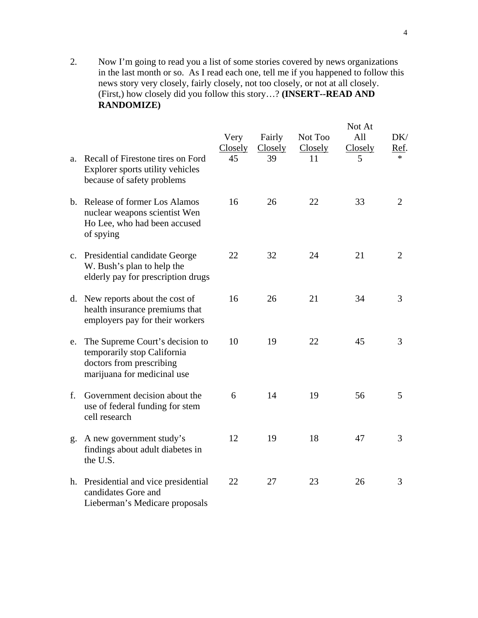2. Now I'm going to read you a list of some stories covered by news organizations in the last month or so. As I read each one, tell me if you happened to follow this news story very closely, fairly closely, not too closely, or not at all closely. (First,) how closely did you follow this story…? **(INSERT--READ AND RANDOMIZE)** 

|    |                                                                                                                           | Very<br><b>Closely</b> | Fairly<br>Closely | Not Too<br>Closely | Not At<br>All<br>Closely | DK/<br><u>Ref</u> . |
|----|---------------------------------------------------------------------------------------------------------------------------|------------------------|-------------------|--------------------|--------------------------|---------------------|
| a. | Recall of Firestone tires on Ford<br>Explorer sports utility vehicles<br>because of safety problems                       | 45                     | 39                | 11                 | 5                        | $\ast$              |
|    | b. Release of former Los Alamos<br>nuclear weapons scientist Wen<br>Ho Lee, who had been accused<br>of spying             | 16                     | 26                | 22                 | 33                       | $\overline{2}$      |
|    | c. Presidential candidate George<br>W. Bush's plan to help the<br>elderly pay for prescription drugs                      | 22                     | 32                | 24                 | 21                       | $\overline{2}$      |
|    | d. New reports about the cost of<br>health insurance premiums that<br>employers pay for their workers                     | 16                     | 26                | 21                 | 34                       | 3                   |
| e. | The Supreme Court's decision to<br>temporarily stop California<br>doctors from prescribing<br>marijuana for medicinal use | 10                     | 19                | 22                 | 45                       | 3                   |
| f. | Government decision about the<br>use of federal funding for stem<br>cell research                                         | 6                      | 14                | 19                 | 56                       | 5                   |
| g. | A new government study's<br>findings about adult diabetes in<br>the U.S.                                                  | 12                     | 19                | 18                 | 47                       | 3                   |
|    | h. Presidential and vice presidential<br>candidates Gore and<br>Lieberman's Medicare proposals                            | 22                     | 27                | 23                 | 26                       | 3                   |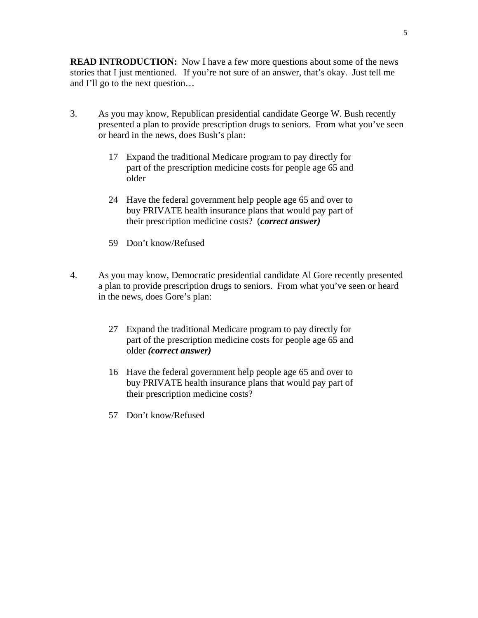**READ INTRODUCTION:** Now I have a few more questions about some of the news stories that I just mentioned. If you're not sure of an answer, that's okay. Just tell me and I'll go to the next question…

- 3. As you may know, Republican presidential candidate George W. Bush recently presented a plan to provide prescription drugs to seniors. From what you've seen or heard in the news, does Bush's plan:
	- 17 Expand the traditional Medicare program to pay directly for part of the prescription medicine costs for people age 65 and older
	- 24 Have the federal government help people age 65 and over to buy PRIVATE health insurance plans that would pay part of their prescription medicine costs? (*correct answer)*
	- 59 Don't know/Refused
- 4. As you may know, Democratic presidential candidate Al Gore recently presented a plan to provide prescription drugs to seniors. From what you've seen or heard in the news, does Gore's plan:
	- 27 Expand the traditional Medicare program to pay directly for part of the prescription medicine costs for people age 65 and older *(correct answer)*
	- 16 Have the federal government help people age 65 and over to buy PRIVATE health insurance plans that would pay part of their prescription medicine costs?
	- 57 Don't know/Refused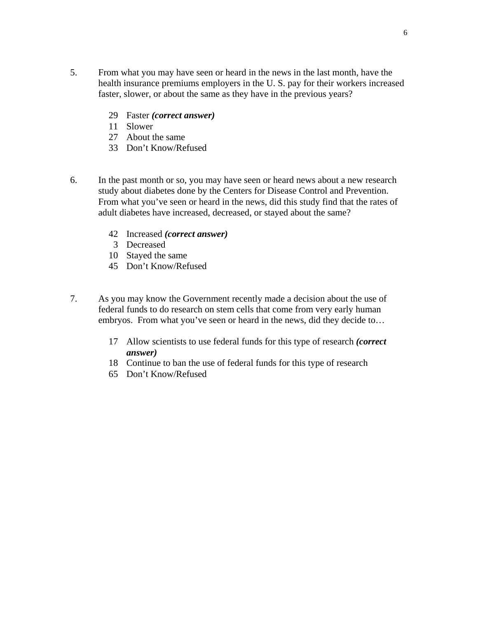- 5. From what you may have seen or heard in the news in the last month, have the health insurance premiums employers in the U. S. pay for their workers increased faster, slower, or about the same as they have in the previous years?
	- 29 Faster *(correct answer)*
	- 11 Slower
	- 27 About the same
	- 33 Don't Know/Refused
- 6. In the past month or so, you may have seen or heard news about a new research study about diabetes done by the Centers for Disease Control and Prevention. From what you've seen or heard in the news, did this study find that the rates of adult diabetes have increased, decreased, or stayed about the same?
	- 42 Increased *(correct answer)*
	- 3 Decreased
	- 10 Stayed the same
	- 45 Don't Know/Refused
- 7. As you may know the Government recently made a decision about the use of federal funds to do research on stem cells that come from very early human embryos. From what you've seen or heard in the news, did they decide to…
	- 17 Allow scientists to use federal funds for this type of research *(correct answer)*
	- 18 Continue to ban the use of federal funds for this type of research
	- 65 Don't Know/Refused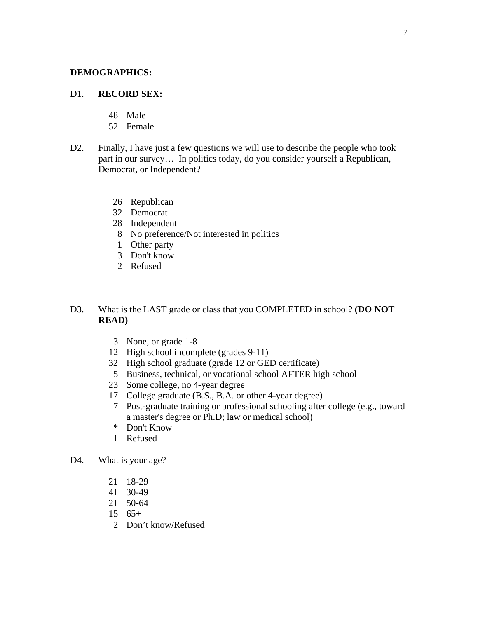### **DEMOGRAPHICS:**

### D1. **RECORD SEX:**

- 48 Male
- 52 Female
- D2. Finally, I have just a few questions we will use to describe the people who took part in our survey… In politics today, do you consider yourself a Republican, Democrat, or Independent?
	- 26 Republican
	- 32 Democrat
	- 28 Independent
	- 8 No preference/Not interested in politics
	- 1 Other party
	- 3 Don't know
	- 2 Refused
- D3. What is the LAST grade or class that you COMPLETED in school? **(DO NOT READ)**
	- 3 None, or grade 1-8
	- 12 High school incomplete (grades 9-11)
	- 32 High school graduate (grade 12 or GED certificate)
	- 5 Business, technical, or vocational school AFTER high school
	- 23 Some college, no 4-year degree
	- 17 College graduate (B.S., B.A. or other 4-year degree)
	- 7 Post-graduate training or professional schooling after college (e.g., toward a master's degree or Ph.D; law or medical school)
	- \* Don't Know
	- 1 Refused
- D4. What is your age?
	- 21 18-29
	- 41 30-49
	- 21 50-64
	- 15 65+
	- 2 Don't know/Refused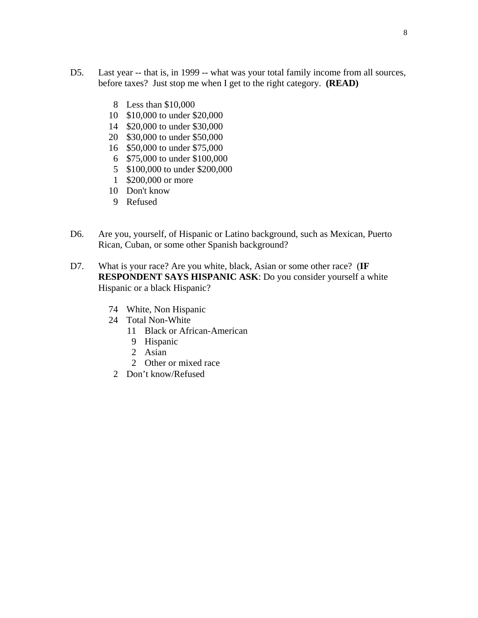- D5. Last year -- that is, in 1999 -- what was your total family income from all sources, before taxes? Just stop me when I get to the right category. **(READ)**
	- 8 Less than \$10,000
	- 10 \$10,000 to under \$20,000
	- 14 \$20,000 to under \$30,000
	- 20 \$30,000 to under \$50,000
	- 16 \$50,000 to under \$75,000
	- 6 \$75,000 to under \$100,000
	- 5 \$100,000 to under \$200,000
	- 1 \$200,000 or more
	- 10 Don't know
	- 9 Refused
- D6. Are you, yourself, of Hispanic or Latino background, such as Mexican, Puerto Rican, Cuban, or some other Spanish background?
- D7. What is your race? Are you white, black, Asian or some other race? (**IF RESPONDENT SAYS HISPANIC ASK**: Do you consider yourself a white Hispanic or a black Hispanic?
	- 74 White, Non Hispanic
	- 24 Total Non-White
		- 11 Black or African-American
		- 9 Hispanic
		- 2 Asian
		- 2 Other or mixed race
	- 2 Don't know/Refused